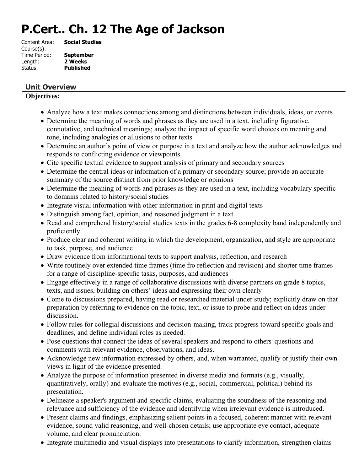# **P.Cert.. Ch. 12 The Age of Jackson**

| Content Area: | <b>Social Studies</b> |
|---------------|-----------------------|
| Course(s):    |                       |
| Time Period:  | <b>September</b>      |
| Length:       | 2 Weeks               |
| Status:       | <b>Published</b>      |
|               |                       |

### **Unit Overview**

#### **Objectives:**

- Analyze how a text makes connections among and distinctions between individuals, ideas, or events
- Determine the meaning of words and phrases as they are used in a text, including figurative, connotative, and technical meanings; analyze the impact of specific word choices on meaning and tone, including analogies or allusions to other texts
- Determine an author's point of view or purpose in a text and analyze how the author acknowledges and responds to conflicting evidence or viewpoints
- Cite specific textual evidence to support analysis of primary and secondary sources
- Determine the central ideas or information of a primary or secondary source; provide an accurate summary of the source distinct from prior knowledge or opinions
- Determine the meaning of words and phrases as they are used in a text, including vocabulary specific to domains related to history/social studies
- Integrate visual information with other information in print and digital texts
- Distinguish among fact, opinion, and reasoned judgment in a text
- Read and comprehend history/social studies texts in the grades 6-8 complexity band independently and proficiently
- Produce clear and coherent writing in which the development, organization, and style are appropriate to task, purpose, and audience
- Draw evidence from informational texts to support analysis, reflection, and research
- Write routinely over extended time frames (time fro reflection and revision) and shorter time frames for a range of discipline-specific tasks, purposes, and audiences
- Engage effectively in a range of collaborative discussions with diverse partners on grade 8 topics, texts, and issues, building on others' ideas and expressing their own clearly
- Come to discussions prepared, having read or researched material under study; explicitly draw on that preparation by referring to evidence on the topic, text, or issue to probe and reflect on ideas under discussion.
- Follow rules for collegial discussions and decision-making, track progress toward specific goals and deadlines, and define individual roles as needed.
- Pose questions that connect the ideas of several speakers and respond to others' questions and comments with relevant evidence, observations, and ideas.
- Acknowledge new information expressed by others, and, when warranted, qualify or justify their own views in light of the evidence presented.
- Analyze the purpose of information presented in diverse media and formats (e.g., visually, quantitatively, orally) and evaluate the motives (e.g., social, commercial, political) behind its presentation.
- Delineate a speaker's argument and specific claims, evaluating the soundness of the reasoning and relevance and sufficiency of the evidence and identifying when irrelevant evidence is introduced.
- Present claims and findings, emphasizing salient points in a focused, coherent manner with relevant evidence, sound valid reasoning, and well-chosen details; use appropriate eye contact, adequate volume, and clear pronunciation.
- Integrate multimedia and visual displays into presentations to clarify information, strengthen claims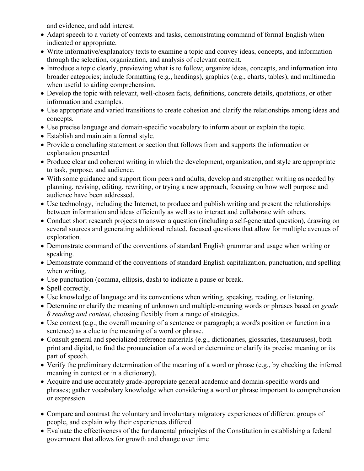and evidence, and add interest.

- Adapt speech to a variety of contexts and tasks, demonstrating command of formal English when indicated or appropriate.
- Write informative/explanatory texts to examine a topic and convey ideas, concepts, and information through the selection, organization, and analysis of relevant content.
- Introduce a topic clearly, previewing what is to follow; organize ideas, concepts, and information into broader categories; include formatting (e.g., headings), graphics (e.g., charts, tables), and multimedia when useful to aiding comprehension.
- Develop the topic with relevant, well-chosen facts, definitions, concrete details, quotations, or other information and examples.
- Use appropriate and varied transitions to create cohesion and clarify the relationships among ideas and concepts.
- Use precise language and domain-specific vocabulary to inform about or explain the topic.
- Establish and maintain a formal style.
- Provide a concluding statement or section that follows from and supports the information or explanation presented
- Produce clear and coherent writing in which the development, organization, and style are appropriate to task, purpose, and audience.
- With some guidance and support from peers and adults, develop and strengthen writing as needed by planning, revising, editing, rewriting, or trying a new approach, focusing on how well purpose and audience have been addressed.
- Use technology, including the Internet, to produce and publish writing and present the relationships between information and ideas efficiently as well as to interact and collaborate with others.
- Conduct short research projects to answer a question (including a self-generated question), drawing on several sources and generating additional related, focused questions that allow for multiple avenues of exploration.
- Demonstrate command of the conventions of standard English grammar and usage when writing or speaking.
- Demonstrate command of the conventions of standard English capitalization, punctuation, and spelling when writing.
- Use punctuation (comma, ellipsis, dash) to indicate a pause or break.
- Spell correctly.
- Use knowledge of language and its conventions when writing, speaking, reading, or listening.
- Determine or clarify the meaning of unknown and multiple-meaning words or phrases based on *grade 8 reading and content*, choosing flexibly from a range of strategies.
- Use context (e.g., the overall meaning of a sentence or paragraph; a word's position or function in a sentence) as a clue to the meaning of a word or phrase.
- Consult general and specialized reference materials (e.g., dictionaries, glossaries, thesauruses), both print and digital, to find the pronunciation of a word or determine or clarify its precise meaning or its part of speech.
- Verify the preliminary determination of the meaning of a word or phrase (e.g., by checking the inferred meaning in context or in a dictionary).
- Acquire and use accurately grade-appropriate general academic and domain-specific words and phrases; gather vocabulary knowledge when considering a word or phrase important to comprehension or expression.
- Compare and contrast the voluntary and involuntary migratory experiences of different groups of people, and explain why their experiences differed
- Evaluate the effectiveness of the fundamental principles of the Constitution in establishing a federal government that allows for growth and change over time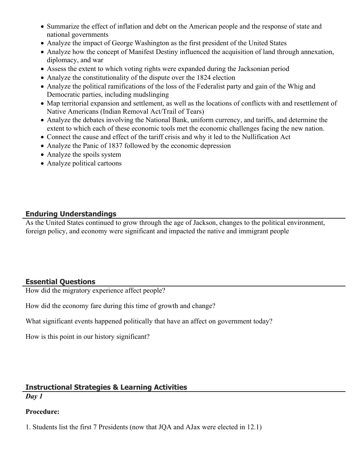- Summarize the effect of inflation and debt on the American people and the response of state and national governments
- Analyze the impact of George Washington as the first president of the United States
- Analyze how the concept of Manifest Destiny influenced the acquisition of land through annexation, diplomacy, and war
- Assess the extent to which voting rights were expanded during the Jacksonian period
- Analyze the constitutionality of the dispute over the 1824 election
- Analyze the political ramifications of the loss of the Federalist party and gain of the Whig and Democratic parties, including mudslinging
- Map territorial expansion and settlement, as well as the locations of conflicts with and resettlement of Native Americans (Indian Removal Act/Trail of Tears)
- Analyze the debates involving the National Bank, uniform currency, and tariffs, and determine the extent to which each of these economic tools met the economic challenges facing the new nation.
- Connect the cause and effect of the tariff crisis and why it led to the Nullification Act
- Analyze the Panic of 1837 followed by the economic depression
- Analyze the spoils system
- Analyze political cartoons

# **Enduring Understandings**

As the United States continued to grow through the age of Jackson, changes to the political environment, foreign policy, and economy were significant and impacted the native and immigrant people

# **Essential Questions**

How did the migratory experience affect people?

How did the economy fare during this time of growth and change?

What significant events happened politically that have an affect on government today?

How is this point in our history significant?

# **Instructional Strategies & Learning Activities**

#### *Day 1*

# **Procedure:**

1. Students list the first 7 Presidents (now that JQA and AJax were elected in 12.1)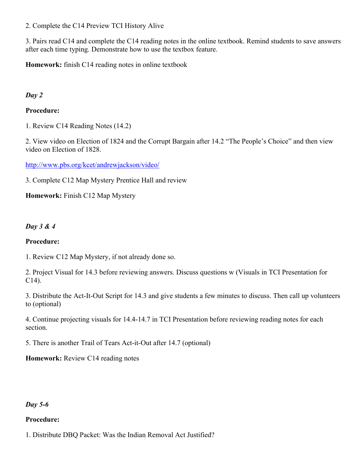2. Complete the C14 Preview TCI History Alive

3. Pairs read C14 and complete the C14 reading notes in the online textbook. Remind students to save answers after each time typing. Demonstrate how to use the textbox feature.

**Homework:** finish C14 reading notes in online textbook

#### *Day 2*

#### **Procedure:**

1. Review C14 Reading Notes (14.2)

2. View video on Election of 1824 and the Corrupt Bargain after 14.2 "The People's Choice" and then view video on Election of 1828.

<http://www.pbs.org/kcet/andrewjackson/video/>

3. Complete C12 Map Mystery Prentice Hall and review

**Homework:** Finish C12 Map Mystery

#### *Day 3 & 4*

#### **Procedure:**

1. Review C12 Map Mystery, if not already done so.

2. Project Visual for 14.3 before reviewing answers. Discuss questions w (Visuals in TCI Presentation for C14).

3. Distribute the Act-It-Out Script for 14.3 and give students a few minutes to discuss. Then call up volunteers to (optional)

4. Continue projecting visuals for 14.4-14.7 in TCI Presentation before reviewing reading notes for each section.

5. There is another Trail of Tears Act-it-Out after 14.7 (optional)

**Homework:** Review C14 reading notes

#### *Day 5-6*

#### **Procedure:**

1. Distribute DBQ Packet: Was the Indian Removal Act Justified?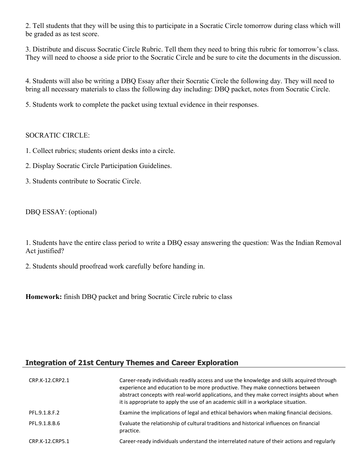2. Tell students that they will be using this to participate in a Socratic Circle tomorrow during class which will be graded as as test score.

3. Distribute and discuss Socratic Circle Rubric. Tell them they need to bring this rubric for tomorrow's class. They will need to choose a side prior to the Socratic Circle and be sure to cite the documents in the discussion.

4. Students will also be writing a DBQ Essay after their Socratic Circle the following day. They will need to bring all necessary materials to class the following day including: DBQ packet, notes from Socratic Circle.

5. Students work to complete the packet using textual evidence in their responses.

#### SOCRATIC CIRCLE:

1. Collect rubrics; students orient desks into a circle.

2. Display Socratic Circle Participation Guidelines.

3. Students contribute to Socratic Circle.

DBQ ESSAY: (optional)

1. Students have the entire class period to write a DBQ essay answering the question: Was the Indian Removal Act justified?

2. Students should proofread work carefully before handing in.

**Homework:** finish DBQ packet and bring Socratic Circle rubric to class

#### **Integration of 21st Century Themes and Career Exploration**

| CRP.K-12.CRP2.1 | Career-ready individuals readily access and use the knowledge and skills acquired through<br>experience and education to be more productive. They make connections between<br>abstract concepts with real-world applications, and they make correct insights about when<br>it is appropriate to apply the use of an academic skill in a workplace situation. |
|-----------------|--------------------------------------------------------------------------------------------------------------------------------------------------------------------------------------------------------------------------------------------------------------------------------------------------------------------------------------------------------------|
| PFL.9.1.8.F.2   | Examine the implications of legal and ethical behaviors when making financial decisions.                                                                                                                                                                                                                                                                     |
| PFL.9.1.8.B.6   | Evaluate the relationship of cultural traditions and historical influences on financial<br>practice.                                                                                                                                                                                                                                                         |
| CRP.K-12.CRP5.1 | Career-ready individuals understand the interrelated nature of their actions and regularly                                                                                                                                                                                                                                                                   |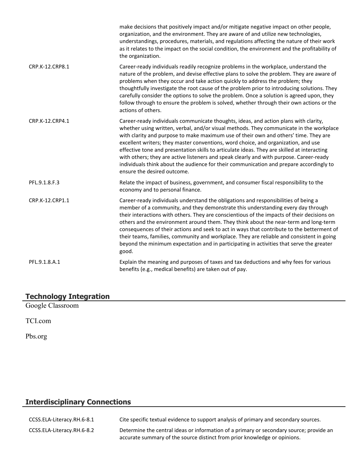|                 | make decisions that positively impact and/or mitigate negative impact on other people,<br>organization, and the environment. They are aware of and utilize new technologies,<br>understandings, procedures, materials, and regulations affecting the nature of their work<br>as it relates to the impact on the social condition, the environment and the profitability of<br>the organization.                                                                                                                                                                                                                                                                                   |
|-----------------|-----------------------------------------------------------------------------------------------------------------------------------------------------------------------------------------------------------------------------------------------------------------------------------------------------------------------------------------------------------------------------------------------------------------------------------------------------------------------------------------------------------------------------------------------------------------------------------------------------------------------------------------------------------------------------------|
| CRP.K-12.CRP8.1 | Career-ready individuals readily recognize problems in the workplace, understand the<br>nature of the problem, and devise effective plans to solve the problem. They are aware of<br>problems when they occur and take action quickly to address the problem; they<br>thoughtfully investigate the root cause of the problem prior to introducing solutions. They<br>carefully consider the options to solve the problem. Once a solution is agreed upon, they<br>follow through to ensure the problem is solved, whether through their own actions or the<br>actions of others.                                                                                                  |
| CRP.K-12.CRP4.1 | Career-ready individuals communicate thoughts, ideas, and action plans with clarity,<br>whether using written, verbal, and/or visual methods. They communicate in the workplace<br>with clarity and purpose to make maximum use of their own and others' time. They are<br>excellent writers; they master conventions, word choice, and organization, and use<br>effective tone and presentation skills to articulate ideas. They are skilled at interacting<br>with others; they are active listeners and speak clearly and with purpose. Career-ready<br>individuals think about the audience for their communication and prepare accordingly to<br>ensure the desired outcome. |
| PFL.9.1.8.F.3   | Relate the impact of business, government, and consumer fiscal responsibility to the<br>economy and to personal finance.                                                                                                                                                                                                                                                                                                                                                                                                                                                                                                                                                          |
| CRP.K-12.CRP1.1 | Career-ready individuals understand the obligations and responsibilities of being a<br>member of a community, and they demonstrate this understanding every day through<br>their interactions with others. They are conscientious of the impacts of their decisions on<br>others and the environment around them. They think about the near-term and long-term<br>consequences of their actions and seek to act in ways that contribute to the betterment of<br>their teams, families, community and workplace. They are reliable and consistent in going<br>beyond the minimum expectation and in participating in activities that serve the greater<br>good.                    |
| PFL.9.1.8.A.1   | Explain the meaning and purposes of taxes and tax deductions and why fees for various<br>benefits (e.g., medical benefits) are taken out of pay.                                                                                                                                                                                                                                                                                                                                                                                                                                                                                                                                  |

#### **Technology Integration**

Google Classroom

TCI.com

Pbs.org

# **Interdisciplinary Connections**

| CCSS.ELA-Literacy.RH.6-8.1 | Cite specific textual evidence to support analysis of primary and secondary sources.                                                                                 |
|----------------------------|----------------------------------------------------------------------------------------------------------------------------------------------------------------------|
| CCSS.ELA-Literacy.RH.6-8.2 | Determine the central ideas or information of a primary or secondary source; provide an<br>accurate summary of the source distinct from prior knowledge or opinions. |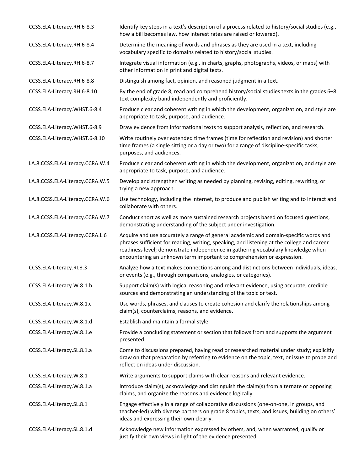| CCSS.ELA-Literacy.RH.6-8.3      | Identify key steps in a text's description of a process related to history/social studies (e.g.,<br>how a bill becomes law, how interest rates are raised or lowered).                                                                                                                                                                           |
|---------------------------------|--------------------------------------------------------------------------------------------------------------------------------------------------------------------------------------------------------------------------------------------------------------------------------------------------------------------------------------------------|
| CCSS.ELA-Literacy.RH.6-8.4      | Determine the meaning of words and phrases as they are used in a text, including<br>vocabulary specific to domains related to history/social studies.                                                                                                                                                                                            |
| CCSS.ELA-Literacy.RH.6-8.7      | Integrate visual information (e.g., in charts, graphs, photographs, videos, or maps) with<br>other information in print and digital texts.                                                                                                                                                                                                       |
| CCSS.ELA-Literacy.RH.6-8.8      | Distinguish among fact, opinion, and reasoned judgment in a text.                                                                                                                                                                                                                                                                                |
| CCSS.ELA-Literacy.RH.6-8.10     | By the end of grade 8, read and comprehend history/social studies texts in the grades 6-8<br>text complexity band independently and proficiently.                                                                                                                                                                                                |
| CCSS.ELA-Literacy.WHST.6-8.4    | Produce clear and coherent writing in which the development, organization, and style are<br>appropriate to task, purpose, and audience.                                                                                                                                                                                                          |
| CCSS.ELA-Literacy.WHST.6-8.9    | Draw evidence from informational texts to support analysis, reflection, and research.                                                                                                                                                                                                                                                            |
| CCSS.ELA-Literacy.WHST.6-8.10   | Write routinely over extended time frames (time for reflection and revision) and shorter<br>time frames (a single sitting or a day or two) for a range of discipline-specific tasks,<br>purposes, and audiences.                                                                                                                                 |
| LA.8.CCSS.ELA-Literacy.CCRA.W.4 | Produce clear and coherent writing in which the development, organization, and style are<br>appropriate to task, purpose, and audience.                                                                                                                                                                                                          |
| LA.8.CCSS.ELA-Literacy.CCRA.W.5 | Develop and strengthen writing as needed by planning, revising, editing, rewriting, or<br>trying a new approach.                                                                                                                                                                                                                                 |
| LA.8.CCSS.ELA-Literacy.CCRA.W.6 | Use technology, including the Internet, to produce and publish writing and to interact and<br>collaborate with others.                                                                                                                                                                                                                           |
| LA.8.CCSS.ELA-Literacy.CCRA.W.7 | Conduct short as well as more sustained research projects based on focused questions,<br>demonstrating understanding of the subject under investigation.                                                                                                                                                                                         |
|                                 |                                                                                                                                                                                                                                                                                                                                                  |
| LA.8.CCSS.ELA-Literacy.CCRA.L.6 | Acquire and use accurately a range of general academic and domain-specific words and<br>phrases sufficient for reading, writing, speaking, and listening at the college and career<br>readiness level; demonstrate independence in gathering vocabulary knowledge when<br>encountering an unknown term important to comprehension or expression. |
| CCSS.ELA-Literacy.RI.8.3        | Analyze how a text makes connections among and distinctions between individuals, ideas,<br>or events (e.g., through comparisons, analogies, or categories).                                                                                                                                                                                      |
| CCSS.ELA-Literacy.W.8.1.b       | Support claim(s) with logical reasoning and relevant evidence, using accurate, credible<br>sources and demonstrating an understanding of the topic or text.                                                                                                                                                                                      |
| CCSS.ELA-Literacy.W.8.1.c       | Use words, phrases, and clauses to create cohesion and clarify the relationships among<br>claim(s), counterclaims, reasons, and evidence.                                                                                                                                                                                                        |
| CCSS.ELA-Literacy.W.8.1.d       | Establish and maintain a formal style.                                                                                                                                                                                                                                                                                                           |
| CCSS.ELA-Literacy.W.8.1.e       | Provide a concluding statement or section that follows from and supports the argument<br>presented.                                                                                                                                                                                                                                              |
| CCSS.ELA-Literacy.SL.8.1.a      | Come to discussions prepared, having read or researched material under study; explicitly<br>draw on that preparation by referring to evidence on the topic, text, or issue to probe and<br>reflect on ideas under discussion.                                                                                                                    |
| CCSS.ELA-Literacy.W.8.1         | Write arguments to support claims with clear reasons and relevant evidence.                                                                                                                                                                                                                                                                      |
| CCSS.ELA-Literacy.W.8.1.a       | Introduce claim(s), acknowledge and distinguish the claim(s) from alternate or opposing<br>claims, and organize the reasons and evidence logically.                                                                                                                                                                                              |
| CCSS.ELA-Literacy.SL.8.1        | Engage effectively in a range of collaborative discussions (one-on-one, in groups, and<br>teacher-led) with diverse partners on grade 8 topics, texts, and issues, building on others'<br>ideas and expressing their own clearly.                                                                                                                |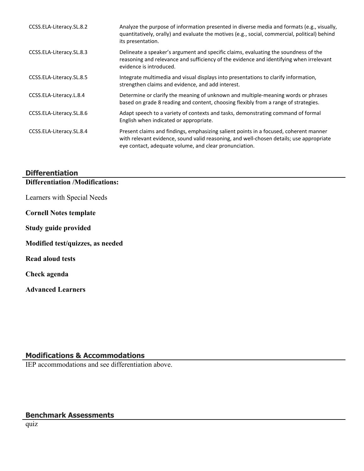| CCSS.ELA-Literacy.SL.8.2 | Analyze the purpose of information presented in diverse media and formats (e.g., visually,<br>quantitatively, orally) and evaluate the motives (e.g., social, commercial, political) behind<br>its presentation.                           |
|--------------------------|--------------------------------------------------------------------------------------------------------------------------------------------------------------------------------------------------------------------------------------------|
| CCSS.ELA-Literacy.SL.8.3 | Delineate a speaker's argument and specific claims, evaluating the soundness of the<br>reasoning and relevance and sufficiency of the evidence and identifying when irrelevant<br>evidence is introduced.                                  |
| CCSS.ELA-Literacy.SL.8.5 | Integrate multimedia and visual displays into presentations to clarify information,<br>strengthen claims and evidence, and add interest.                                                                                                   |
| CCSS.ELA-Literacy.L.8.4  | Determine or clarify the meaning of unknown and multiple-meaning words or phrases<br>based on grade 8 reading and content, choosing flexibly from a range of strategies.                                                                   |
| CCSS.ELA-Literacy.SL.8.6 | Adapt speech to a variety of contexts and tasks, demonstrating command of formal<br>English when indicated or appropriate.                                                                                                                 |
| CCSS.ELA-Literacy.SL.8.4 | Present claims and findings, emphasizing salient points in a focused, coherent manner<br>with relevant evidence, sound valid reasoning, and well-chosen details; use appropriate<br>eye contact, adequate volume, and clear pronunciation. |

# **Differentiation**

# **Differentiation /Modifications:**

Learners with Special Needs

#### **Cornell Notes template**

**Study guide provided**

**Modified test/quizzes, as needed**

#### **Read aloud tests**

**Check agenda**

**Advanced Learners**

#### **Modifications & Accommodations**

IEP accommodations and see differentiation above.

#### **Benchmark Assessments**

quiz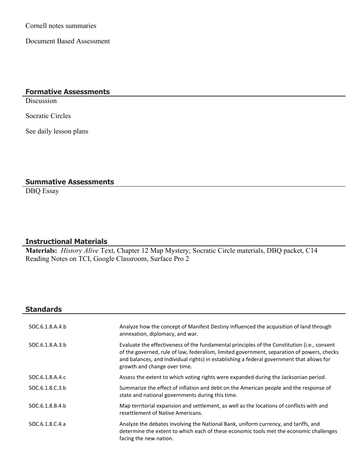Cornell notes summaries

Document Based Assessment

#### **Formative Assessments**

Discussion

Socratic Circles

See daily lesson plans

# **Summative Assessments**

DBQ Essay

#### **Instructional Materials**

**Materials:** *History Alive* Text, Chapter 12 Map Mystery; Socratic Circle materials, DBQ packet, C14 Reading Notes on TCI, Google Classroom, Surface Pro 2

#### **Standards**

| SOC.6.1.8.A.4.b | Analyze how the concept of Manifest Destiny influenced the acquisition of land through<br>annexation, diplomacy, and war.                                                                                                                                                                                              |
|-----------------|------------------------------------------------------------------------------------------------------------------------------------------------------------------------------------------------------------------------------------------------------------------------------------------------------------------------|
| SOC.6.1.8.A.3.b | Evaluate the effectiveness of the fundamental principles of the Constitution (i.e., consent<br>of the governed, rule of law, federalism, limited government, separation of powers, checks<br>and balances, and individual rights) in establishing a federal government that allows for<br>growth and change over time. |
| SOC.6.1.8.A.4.c | Assess the extent to which voting rights were expanded during the Jacksonian period.                                                                                                                                                                                                                                   |
| SOC.6.1.8.C.3.b | Summarize the effect of inflation and debt on the American people and the response of<br>state and national governments during this time.                                                                                                                                                                              |
| SOC.6.1.8.B.4.b | Map territorial expansion and settlement, as well as the locations of conflicts with and<br>resettlement of Native Americans.                                                                                                                                                                                          |
| SOC.6.1.8.C.4.a | Analyze the debates involving the National Bank, uniform currency, and tariffs, and<br>determine the extent to which each of these economic tools met the economic challenges<br>facing the new nation.                                                                                                                |